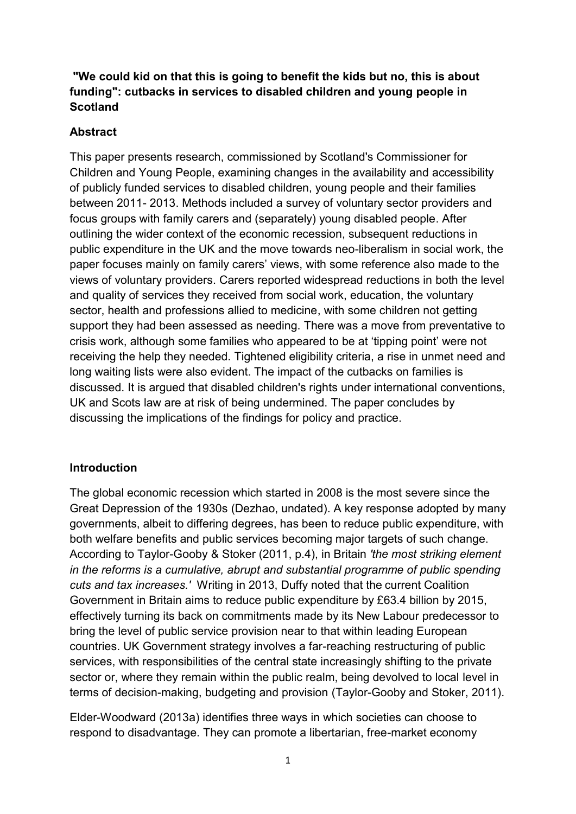# **"We could kid on that this is going to benefit the kids but no, this is about funding": cutbacks in services to disabled children and young people in Scotland**

# **Abstract**

This paper presents research, commissioned by Scotland's Commissioner for Children and Young People, examining changes in the availability and accessibility of publicly funded services to disabled children, young people and their families between 2011- 2013. Methods included a survey of voluntary sector providers and focus groups with family carers and (separately) young disabled people. After outlining the wider context of the economic recession, subsequent reductions in public expenditure in the UK and the move towards neo-liberalism in social work, the paper focuses mainly on family carers' views, with some reference also made to the views of voluntary providers. Carers reported widespread reductions in both the level and quality of services they received from social work, education, the voluntary sector, health and professions allied to medicine, with some children not getting support they had been assessed as needing. There was a move from preventative to crisis work, although some families who appeared to be at 'tipping point' were not receiving the help they needed. Tightened eligibility criteria, a rise in unmet need and long waiting lists were also evident. The impact of the cutbacks on families is discussed. It is argued that disabled children's rights under international conventions, UK and Scots law are at risk of being undermined. The paper concludes by discussing the implications of the findings for policy and practice.

### **Introduction**

The global economic recession which started in 2008 is the most severe since the Great Depression of the 1930s (Dezhao, undated). A key response adopted by many governments, albeit to differing degrees, has been to reduce public expenditure, with both welfare benefits and public services becoming major targets of such change. According to Taylor-Gooby & Stoker (2011, p.4), in Britain *'the most striking element in the reforms is a cumulative, abrupt and substantial programme of public spending cuts and tax increases.'* Writing in 2013, Duffy noted that the current Coalition Government in Britain aims to reduce public expenditure by £63.4 billion by 2015, effectively turning its back on commitments made by its New Labour predecessor to bring the level of public service provision near to that within leading European countries. UK Government strategy involves a far-reaching restructuring of public services, with responsibilities of the central state increasingly shifting to the private sector or, where they remain within the public realm, being devolved to local level in terms of decision-making, budgeting and provision (Taylor-Gooby and Stoker, 2011).

Elder-Woodward (2013a) identifies three ways in which societies can choose to respond to disadvantage. They can promote a libertarian, free-market economy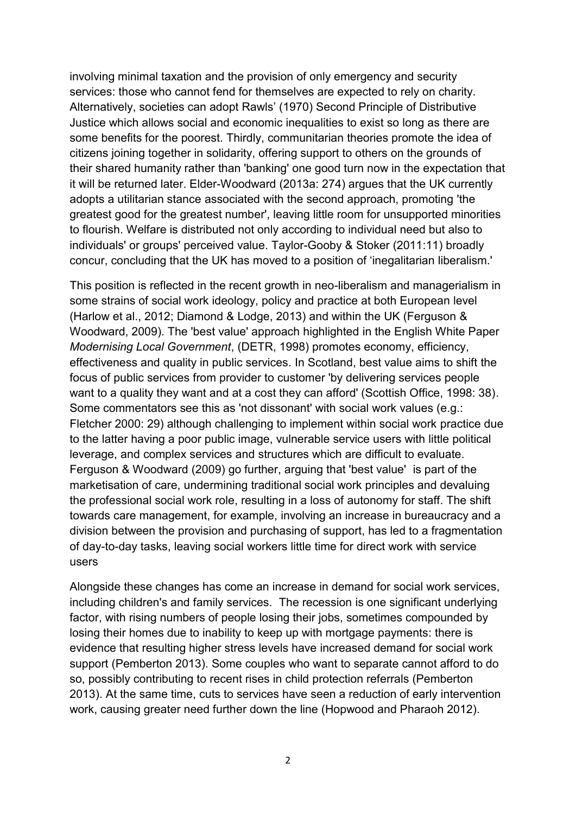involving minimal taxation and the provision of only emergency and security services: those who cannot fend for themselves are expected to rely on charity. Alternatively, societies can adopt Rawls' (1970) Second Principle of Distributive Justice which allows social and economic inequalities to exist so long as there are some benefits for the poorest. Thirdly, communitarian theories promote the idea of citizens joining together in solidarity, offering support to others on the grounds of their shared humanity rather than 'banking' one good turn now in the expectation that it will be returned later. Elder-Woodward (2013a: 274) argues that the UK currently adopts a utilitarian stance associated with the second approach, promoting 'the greatest good for the greatest number', leaving little room for unsupported minorities to flourish. Welfare is distributed not only according to individual need but also to individuals' or groups' perceived value. Taylor-Gooby & Stoker (2011:11) broadly concur, concluding that the UK has moved to a position of 'inegalitarian liberalism.'

This position is reflected in the recent growth in neo-liberalism and managerialism in some strains of social work ideology, policy and practice at both European level (Harlow et al., 2012; Diamond & Lodge, 2013) and within the UK (Ferguson & Woodward, 2009). The 'best value' approach highlighted in the English White Paper *Modernising Local Government*, (DETR, 1998) promotes economy, efficiency, effectiveness and quality in public services. In Scotland, best value aims to shift the focus of public services from provider to customer 'by delivering services people want to a quality they want and at a cost they can afford' (Scottish Office, 1998: 38). Some commentators see this as 'not dissonant' with social work values (e.g.: Fletcher 2000: 29) although challenging to implement within social work practice due to the latter having a poor public image, vulnerable service users with little political leverage, and complex services and structures which are difficult to evaluate. Ferguson & Woodward (2009) go further, arguing that 'best value' is part of the marketisation of care, undermining traditional social work principles and devaluing the professional social work role, resulting in a loss of autonomy for staff. The shift towards care management, for example, involving an increase in bureaucracy and a division between the provision and purchasing of support, has led to a fragmentation of day-to-day tasks, leaving social workers little time for direct work with service users

Alongside these changes has come an increase in demand for social work services, including children's and family services. The recession is one significant underlying factor, with rising numbers of people losing their jobs, sometimes compounded by losing their homes due to inability to keep up with mortgage payments: there is evidence that resulting higher stress levels have increased demand for social work support (Pemberton 2013). Some couples who want to separate cannot afford to do so, possibly contributing to recent rises in child protection referrals (Pemberton 2013). At the same time, cuts to services have seen a reduction of early intervention work, causing greater need further down the line (Hopwood and Pharaoh 2012).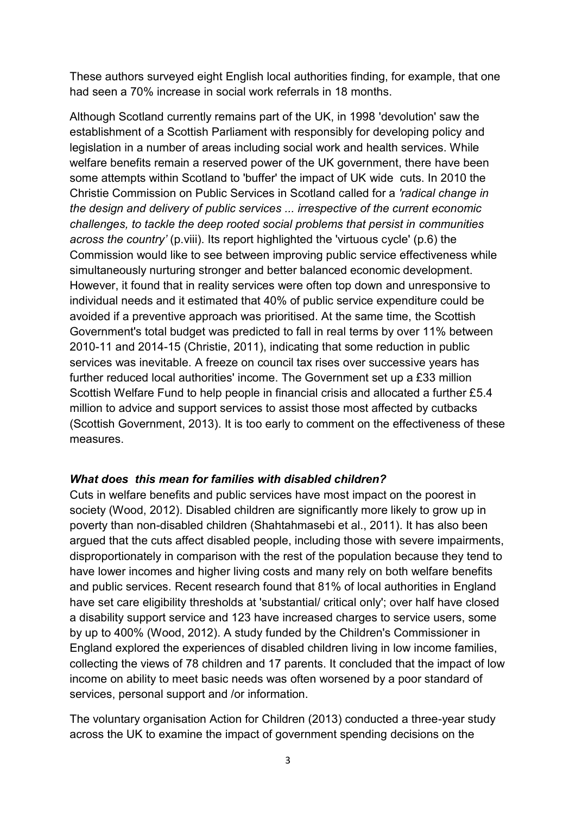These authors surveyed eight English local authorities finding, for example, that one had seen a 70% increase in social work referrals in 18 months.

Although Scotland currently remains part of the UK, in 1998 'devolution' saw the establishment of a Scottish Parliament with responsibly for developing policy and legislation in a number of areas including social work and health services. While welfare benefits remain a reserved power of the UK government, there have been some attempts within Scotland to 'buffer' the impact of UK wide cuts. In 2010 the Christie Commission on Public Services in Scotland called for a *'radical change in the design and delivery of public services ... irrespective of the current economic challenges, to tackle the deep rooted social problems that persist in communities across the country'* (p.viii). Its report highlighted the 'virtuous cycle' (p.6) the Commission would like to see between improving public service effectiveness while simultaneously nurturing stronger and better balanced economic development. However, it found that in reality services were often top down and unresponsive to individual needs and it estimated that 40% of public service expenditure could be avoided if a preventive approach was prioritised. At the same time, the Scottish Government's total budget was predicted to fall in real terms by over 11% between 2010-11 and 2014-15 (Christie, 2011), indicating that some reduction in public services was inevitable. A freeze on council tax rises over successive years has further reduced local authorities' income. The Government set up a £33 million Scottish Welfare Fund to help people in financial crisis and allocated a further £5.4 million to advice and support services to assist those most affected by cutbacks (Scottish Government, 2013). It is too early to comment on the effectiveness of these measures.

#### *What does this mean for families with disabled children?*

Cuts in welfare benefits and public services have most impact on the poorest in society (Wood, 2012). Disabled children are significantly more likely to grow up in poverty than non-disabled children (Shahtahmasebi et al., 2011). It has also been argued that the cuts affect disabled people, including those with severe impairments, disproportionately in comparison with the rest of the population because they tend to have lower incomes and higher living costs and many rely on both welfare benefits and public services. Recent research found that 81% of local authorities in England have set care eligibility thresholds at 'substantial/ critical only'; over half have closed a disability support service and 123 have increased charges to service users, some by up to 400% (Wood, 2012). A study funded by the Children's Commissioner in England explored the experiences of disabled children living in low income families, collecting the views of 78 children and 17 parents. It concluded that the impact of low income on ability to meet basic needs was often worsened by a poor standard of services, personal support and /or information.

The voluntary organisation Action for Children (2013) conducted a three-year study across the UK to examine the impact of government spending decisions on the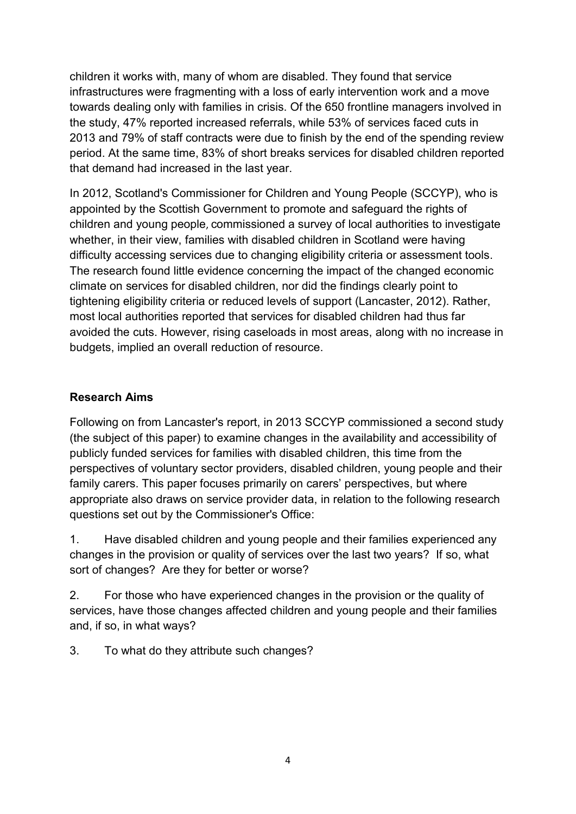children it works with, many of whom are disabled. They found that service infrastructures were fragmenting with a loss of early intervention work and a move towards dealing only with families in crisis. Of the 650 frontline managers involved in the study, 47% reported increased referrals, while 53% of services faced cuts in 2013 and 79% of staff contracts were due to finish by the end of the spending review period. At the same time, 83% of short breaks services for disabled children reported that demand had increased in the last year.

In 2012, Scotland's Commissioner for Children and Young People (SCCYP), who is appointed by the Scottish Government to promote and safeguard the rights of children and young people, commissioned a survey of local authorities to investigate whether, in their view, families with disabled children in Scotland were having difficulty accessing services due to changing eligibility criteria or assessment tools. The research found little evidence concerning the impact of the changed economic climate on services for disabled children, nor did the findings clearly point to tightening eligibility criteria or reduced levels of support (Lancaster, 2012). Rather, most local authorities reported that services for disabled children had thus far avoided the cuts. However, rising caseloads in most areas, along with no increase in budgets, implied an overall reduction of resource.

### **Research Aims**

Following on from Lancaster's report, in 2013 SCCYP commissioned a second study (the subject of this paper) to examine changes in the availability and accessibility of publicly funded services for families with disabled children, this time from the perspectives of voluntary sector providers, disabled children, young people and their family carers. This paper focuses primarily on carers' perspectives, but where appropriate also draws on service provider data, in relation to the following research questions set out by the Commissioner's Office:

1. Have disabled children and young people and their families experienced any changes in the provision or quality of services over the last two years? If so, what sort of changes? Are they for better or worse?

2. For those who have experienced changes in the provision or the quality of services, have those changes affected children and young people and their families and, if so, in what ways?

3. To what do they attribute such changes?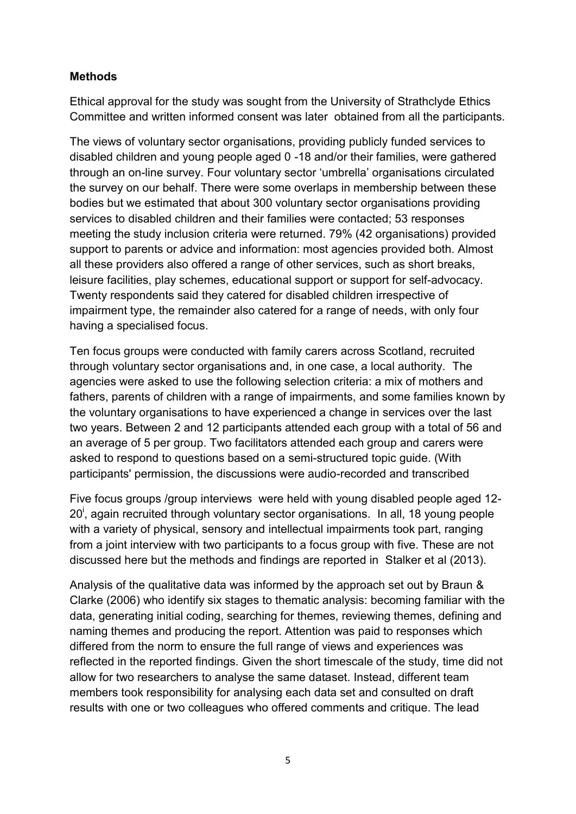#### **Methods**

Ethical approval for the study was sought from the University of Strathclyde Ethics Committee and written informed consent was later obtained from all the participants.

The views of voluntary sector organisations, providing publicly funded services to disabled children and young people aged 0 -18 and/or their families, were gathered through an on-line survey. Four voluntary sector 'umbrella' organisations circulated the survey on our behalf. There were some overlaps in membership between these bodies but we estimated that about 300 voluntary sector organisations providing services to disabled children and their families were contacted; 53 responses meeting the study inclusion criteria were returned. 79% (42 organisations) provided support to parents or advice and information: most agencies provided both. Almost all these providers also offered a range of other services, such as short breaks, leisure facilities, play schemes, educational support or support for self-advocacy. Twenty respondents said they catered for disabled children irrespective of impairment type, the remainder also catered for a range of needs, with only four having a specialised focus.

Ten focus groups were conducted with family carers across Scotland, recruited through voluntary sector organisations and, in one case, a local authority. The agencies were asked to use the following selection criteria: a mix of mothers and fathers, parents of children with a range of impairments, and some families known by the voluntary organisations to have experienced a change in services over the last two years. Between 2 and 12 participants attended each group with a total of 56 and an average of 5 per group. Two facilitators attended each group and carers were asked to respond to questions based on a semi-structured topic guide. (With participants' permission, the discussions were audio-recorded and transcribed

Five focus groups /group interviews were held with young disabled people aged 12- 20<sup>i</sup>, again recruited through voluntary sector organisations. In all, 18 young people with a variety of physical, sensory and intellectual impairments took part, ranging from a joint interview with two participants to a focus group with five. These are not discussed here but the methods and findings are reported in Stalker et al (2013).

Analysis of the qualitative data was informed by the approach set out by Braun & Clarke (2006) who identify six stages to thematic analysis: becoming familiar with the data, generating initial coding, searching for themes, reviewing themes, defining and naming themes and producing the report. Attention was paid to responses which differed from the norm to ensure the full range of views and experiences was reflected in the reported findings. Given the short timescale of the study, time did not allow for two researchers to analyse the same dataset. Instead, different team members took responsibility for analysing each data set and consulted on draft results with one or two colleagues who offered comments and critique. The lead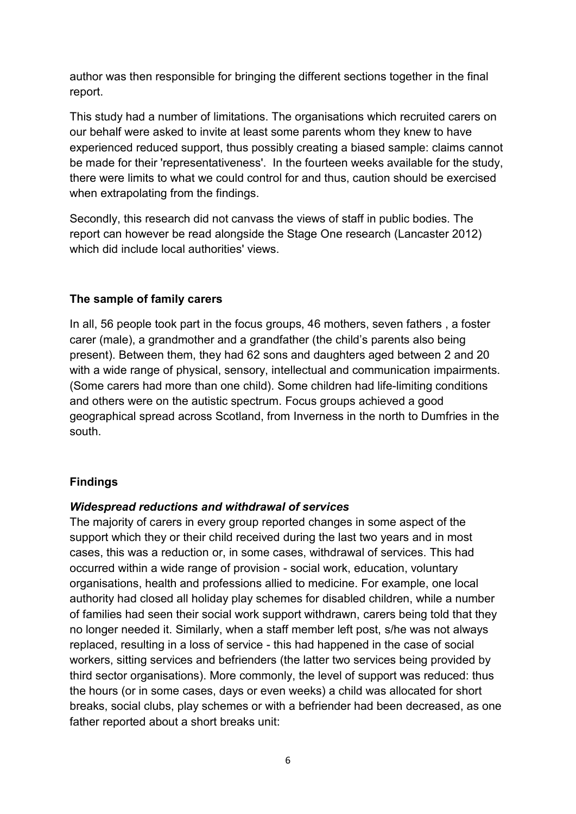author was then responsible for bringing the different sections together in the final report.

This study had a number of limitations. The organisations which recruited carers on our behalf were asked to invite at least some parents whom they knew to have experienced reduced support, thus possibly creating a biased sample: claims cannot be made for their 'representativeness'. In the fourteen weeks available for the study, there were limits to what we could control for and thus, caution should be exercised when extrapolating from the findings.

Secondly, this research did not canvass the views of staff in public bodies. The report can however be read alongside the Stage One research (Lancaster 2012) which did include local authorities' views.

# **The sample of family carers**

In all, 56 people took part in the focus groups, 46 mothers, seven fathers , a foster carer (male), a grandmother and a grandfather (the child's parents also being present). Between them, they had 62 sons and daughters aged between 2 and 20 with a wide range of physical, sensory, intellectual and communication impairments. (Some carers had more than one child). Some children had life-limiting conditions and others were on the autistic spectrum. Focus groups achieved a good geographical spread across Scotland, from Inverness in the north to Dumfries in the south.

### **Findings**

### *Widespread reductions and withdrawal of services*

The majority of carers in every group reported changes in some aspect of the support which they or their child received during the last two years and in most cases, this was a reduction or, in some cases, withdrawal of services. This had occurred within a wide range of provision - social work, education, voluntary organisations, health and professions allied to medicine. For example, one local authority had closed all holiday play schemes for disabled children, while a number of families had seen their social work support withdrawn, carers being told that they no longer needed it. Similarly, when a staff member left post, s/he was not always replaced, resulting in a loss of service - this had happened in the case of social workers, sitting services and befrienders (the latter two services being provided by third sector organisations). More commonly, the level of support was reduced: thus the hours (or in some cases, days or even weeks) a child was allocated for short breaks, social clubs, play schemes or with a befriender had been decreased, as one father reported about a short breaks unit: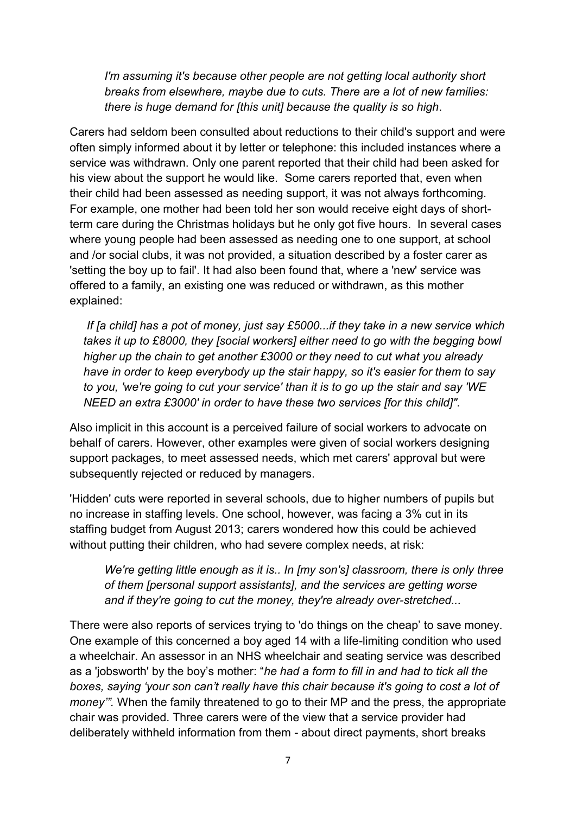*I'm assuming it's because other people are not getting local authority short breaks from elsewhere, maybe due to cuts. There are a lot of new families: there is huge demand for [this unit] because the quality is so high*.

Carers had seldom been consulted about reductions to their child's support and were often simply informed about it by letter or telephone: this included instances where a service was withdrawn. Only one parent reported that their child had been asked for his view about the support he would like. Some carers reported that, even when their child had been assessed as needing support, it was not always forthcoming. For example, one mother had been told her son would receive eight days of shortterm care during the Christmas holidays but he only got five hours. In several cases where young people had been assessed as needing one to one support, at school and /or social clubs, it was not provided, a situation described by a foster carer as 'setting the boy up to fail'. It had also been found that, where a 'new' service was offered to a family, an existing one was reduced or withdrawn, as this mother explained:

*If [a child] has a pot of money, just say £5000...if they take in a new service which takes it up to £8000, they [social workers] either need to go with the begging bowl higher up the chain to get another £3000 or they need to cut what you already have in order to keep everybody up the stair happy, so it's easier for them to say to you, 'we're going to cut your service' than it is to go up the stair and say 'WE NEED an extra £3000' in order to have these two services [for this child]".* 

Also implicit in this account is a perceived failure of social workers to advocate on behalf of carers. However, other examples were given of social workers designing support packages, to meet assessed needs, which met carers' approval but were subsequently rejected or reduced by managers.

'Hidden' cuts were reported in several schools, due to higher numbers of pupils but no increase in staffing levels. One school, however, was facing a 3% cut in its staffing budget from August 2013; carers wondered how this could be achieved without putting their children, who had severe complex needs, at risk:

*We're getting little enough as it is.. In [my son's] classroom, there is only three of them [personal support assistants], and the services are getting worse and if they're going to cut the money, they're already over-stretched...*

There were also reports of services trying to 'do things on the cheap' to save money. One example of this concerned a boy aged 14 with a life-limiting condition who used a wheelchair. An assessor in an NHS wheelchair and seating service was described as a 'jobsworth' by the boy's mother: "*he had a form to fill in and had to tick all the boxes, saying 'your son can't really have this chair because it's going to cost a lot of money'".* When the family threatened to go to their MP and the press, the appropriate chair was provided. Three carers were of the view that a service provider had deliberately withheld information from them - about direct payments, short breaks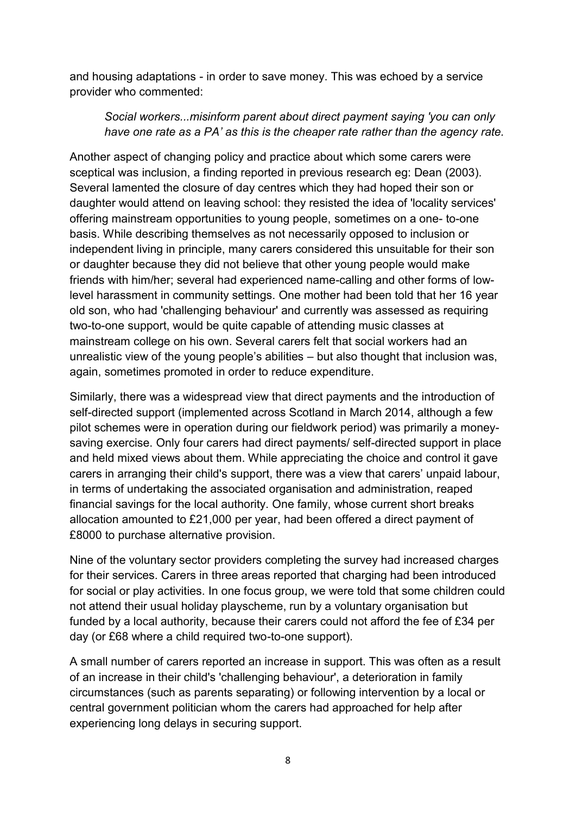and housing adaptations - in order to save money. This was echoed by a service provider who commented:

# *Social workers...misinform parent about direct payment saying 'you can only have one rate as a PA' as this is the cheaper rate rather than the agency rate.*

Another aspect of changing policy and practice about which some carers were sceptical was inclusion, a finding reported in previous research eg: Dean (2003). Several lamented the closure of day centres which they had hoped their son or daughter would attend on leaving school: they resisted the idea of 'locality services' offering mainstream opportunities to young people, sometimes on a one- to-one basis. While describing themselves as not necessarily opposed to inclusion or independent living in principle, many carers considered this unsuitable for their son or daughter because they did not believe that other young people would make friends with him/her; several had experienced name-calling and other forms of lowlevel harassment in community settings. One mother had been told that her 16 year old son, who had 'challenging behaviour' and currently was assessed as requiring two-to-one support, would be quite capable of attending music classes at mainstream college on his own. Several carers felt that social workers had an unrealistic view of the young people's abilities – but also thought that inclusion was, again, sometimes promoted in order to reduce expenditure.

Similarly, there was a widespread view that direct payments and the introduction of self-directed support (implemented across Scotland in March 2014, although a few pilot schemes were in operation during our fieldwork period) was primarily a moneysaving exercise. Only four carers had direct payments/ self-directed support in place and held mixed views about them. While appreciating the choice and control it gave carers in arranging their child's support, there was a view that carers' unpaid labour, in terms of undertaking the associated organisation and administration, reaped financial savings for the local authority. One family, whose current short breaks allocation amounted to £21,000 per year, had been offered a direct payment of £8000 to purchase alternative provision.

Nine of the voluntary sector providers completing the survey had increased charges for their services. Carers in three areas reported that charging had been introduced for social or play activities. In one focus group, we were told that some children could not attend their usual holiday playscheme, run by a voluntary organisation but funded by a local authority, because their carers could not afford the fee of £34 per day (or £68 where a child required two-to-one support).

A small number of carers reported an increase in support. This was often as a result of an increase in their child's 'challenging behaviour', a deterioration in family circumstances (such as parents separating) or following intervention by a local or central government politician whom the carers had approached for help after experiencing long delays in securing support.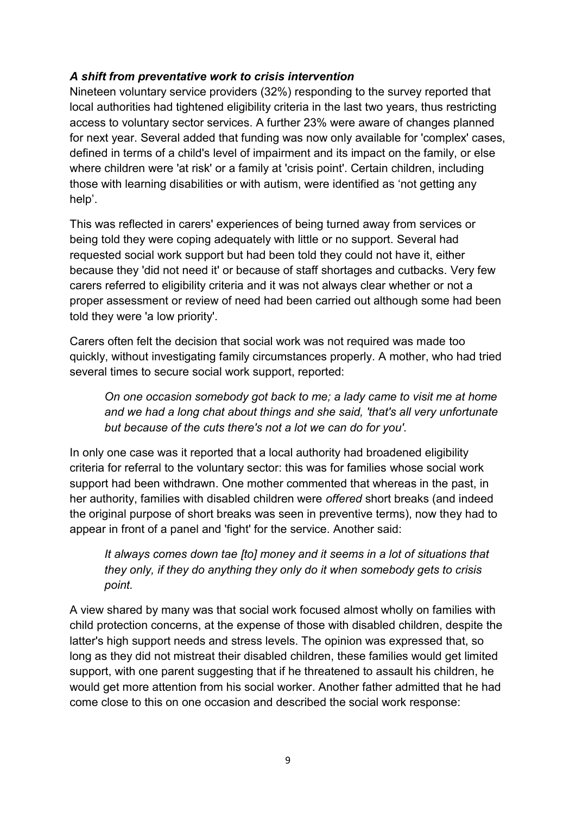### *A shift from preventative work to crisis intervention*

Nineteen voluntary service providers (32%) responding to the survey reported that local authorities had tightened eligibility criteria in the last two years, thus restricting access to voluntary sector services. A further 23% were aware of changes planned for next year. Several added that funding was now only available for 'complex' cases, defined in terms of a child's level of impairment and its impact on the family, or else where children were 'at risk' or a family at 'crisis point'. Certain children, including those with learning disabilities or with autism, were identified as 'not getting any help'.

This was reflected in carers' experiences of being turned away from services or being told they were coping adequately with little or no support. Several had requested social work support but had been told they could not have it, either because they 'did not need it' or because of staff shortages and cutbacks. Very few carers referred to eligibility criteria and it was not always clear whether or not a proper assessment or review of need had been carried out although some had been told they were 'a low priority'.

Carers often felt the decision that social work was not required was made too quickly, without investigating family circumstances properly. A mother, who had tried several times to secure social work support, reported:

*On one occasion somebody got back to me; a lady came to visit me at home and we had a long chat about things and she said, 'that's all very unfortunate but because of the cuts there's not a lot we can do for you'.*

In only one case was it reported that a local authority had broadened eligibility criteria for referral to the voluntary sector: this was for families whose social work support had been withdrawn. One mother commented that whereas in the past, in her authority, families with disabled children were *offered* short breaks (and indeed the original purpose of short breaks was seen in preventive terms), now they had to appear in front of a panel and 'fight' for the service. Another said:

*It always comes down tae [to] money and it seems in a lot of situations that they only, if they do anything they only do it when somebody gets to crisis point.*

A view shared by many was that social work focused almost wholly on families with child protection concerns, at the expense of those with disabled children, despite the latter's high support needs and stress levels. The opinion was expressed that, so long as they did not mistreat their disabled children, these families would get limited support, with one parent suggesting that if he threatened to assault his children, he would get more attention from his social worker. Another father admitted that he had come close to this on one occasion and described the social work response: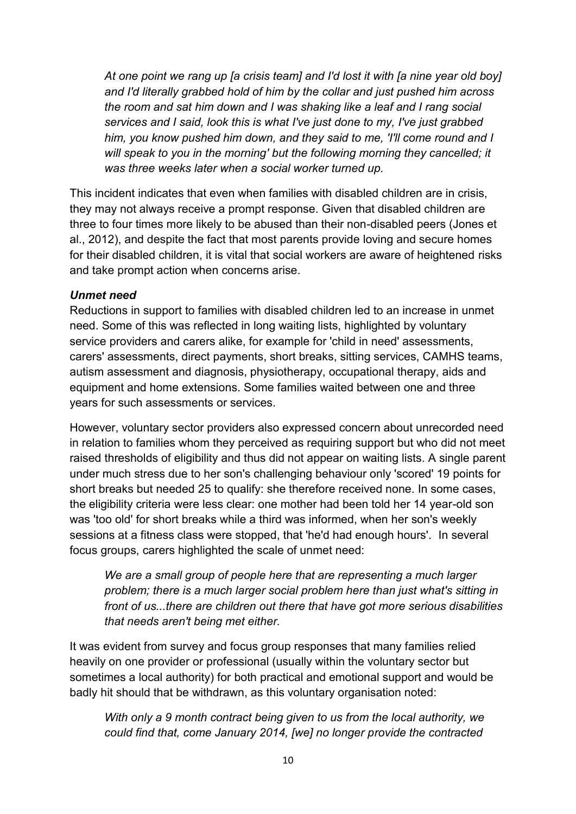*At one point we rang up [a crisis team] and I'd lost it with [a nine year old boy] and I'd literally grabbed hold of him by the collar and just pushed him across the room and sat him down and I was shaking like a leaf and I rang social services and I said, look this is what I've just done to my, I've just grabbed him, you know pushed him down, and they said to me, 'I'll come round and I will speak to you in the morning' but the following morning they cancelled; it was three weeks later when a social worker turned up.*

This incident indicates that even when families with disabled children are in crisis, they may not always receive a prompt response. Given that disabled children are three to four times more likely to be abused than their non-disabled peers (Jones et al., 2012), and despite the fact that most parents provide loving and secure homes for their disabled children, it is vital that social workers are aware of heightened risks and take prompt action when concerns arise.

#### *Unmet need*

Reductions in support to families with disabled children led to an increase in unmet need. Some of this was reflected in long waiting lists, highlighted by voluntary service providers and carers alike, for example for 'child in need' assessments, carers' assessments, direct payments, short breaks, sitting services, CAMHS teams, autism assessment and diagnosis, physiotherapy, occupational therapy, aids and equipment and home extensions. Some families waited between one and three years for such assessments or services.

However, voluntary sector providers also expressed concern about unrecorded need in relation to families whom they perceived as requiring support but who did not meet raised thresholds of eligibility and thus did not appear on waiting lists. A single parent under much stress due to her son's challenging behaviour only 'scored' 19 points for short breaks but needed 25 to qualify: she therefore received none. In some cases, the eligibility criteria were less clear: one mother had been told her 14 year-old son was 'too old' for short breaks while a third was informed, when her son's weekly sessions at a fitness class were stopped, that 'he'd had enough hours'. In several focus groups, carers highlighted the scale of unmet need:

*We are a small group of people here that are representing a much larger problem; there is a much larger social problem here than just what's sitting in front of us...there are children out there that have got more serious disabilities that needs aren't being met either.* 

It was evident from survey and focus group responses that many families relied heavily on one provider or professional (usually within the voluntary sector but sometimes a local authority) for both practical and emotional support and would be badly hit should that be withdrawn, as this voluntary organisation noted:

*With only a 9 month contract being given to us from the local authority, we could find that, come January 2014, [we] no longer provide the contracted*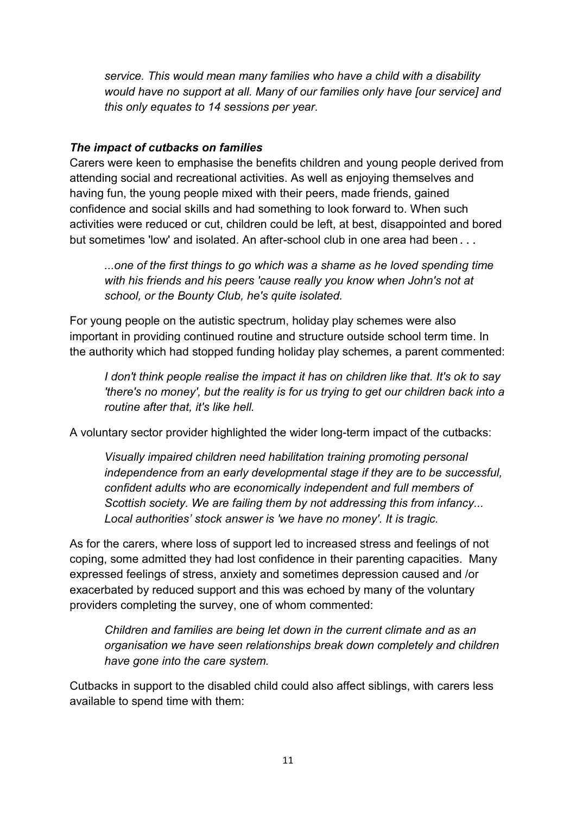*service. This would mean many families who have a child with a disability would have no support at all. Many of our families only have [our service] and this only equates to 14 sessions per year.*

### *The impact of cutbacks on families*

Carers were keen to emphasise the benefits children and young people derived from attending social and recreational activities. As well as enjoying themselves and having fun, the young people mixed with their peers, made friends, gained confidence and social skills and had something to look forward to. When such activities were reduced or cut, children could be left, at best, disappointed and bored but sometimes 'low' and isolated. An after-school club in one area had been...

*...one of the first things to go which was a shame as he loved spending time with his friends and his peers 'cause really you know when John's not at school, or the Bounty Club, he's quite isolated.*

For young people on the autistic spectrum, holiday play schemes were also important in providing continued routine and structure outside school term time. In the authority which had stopped funding holiday play schemes, a parent commented:

*I don't think people realise the impact it has on children like that. It's ok to say 'there's no money', but the reality is for us trying to get our children back into a routine after that, it's like hell.*

A voluntary sector provider highlighted the wider long-term impact of the cutbacks:

*Visually impaired children need habilitation training promoting personal independence from an early developmental stage if they are to be successful, confident adults who are economically independent and full members of Scottish society. We are failing them by not addressing this from infancy... Local authorities' stock answer is 'we have no money'. It is tragic.* 

As for the carers, where loss of support led to increased stress and feelings of not coping, some admitted they had lost confidence in their parenting capacities. Many expressed feelings of stress, anxiety and sometimes depression caused and /or exacerbated by reduced support and this was echoed by many of the voluntary providers completing the survey, one of whom commented:

*Children and families are being let down in the current climate and as an organisation we have seen relationships break down completely and children have gone into the care system.* 

Cutbacks in support to the disabled child could also affect siblings, with carers less available to spend time with them: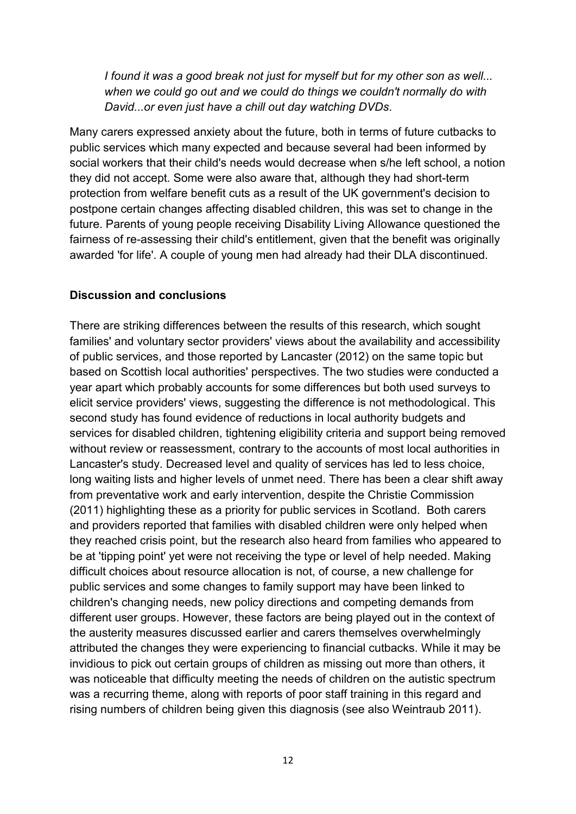*I found it was a good break not just for myself but for my other son as well... when we could go out and we could do things we couldn't normally do with David...or even just have a chill out day watching DVDs.*

Many carers expressed anxiety about the future, both in terms of future cutbacks to public services which many expected and because several had been informed by social workers that their child's needs would decrease when s/he left school, a notion they did not accept. Some were also aware that, although they had short-term protection from welfare benefit cuts as a result of the UK government's decision to postpone certain changes affecting disabled children, this was set to change in the future. Parents of young people receiving Disability Living Allowance questioned the fairness of re-assessing their child's entitlement, given that the benefit was originally awarded 'for life'. A couple of young men had already had their DLA discontinued.

#### **Discussion and conclusions**

There are striking differences between the results of this research, which sought families' and voluntary sector providers' views about the availability and accessibility of public services, and those reported by Lancaster (2012) on the same topic but based on Scottish local authorities' perspectives. The two studies were conducted a year apart which probably accounts for some differences but both used surveys to elicit service providers' views, suggesting the difference is not methodological. This second study has found evidence of reductions in local authority budgets and services for disabled children, tightening eligibility criteria and support being removed without review or reassessment, contrary to the accounts of most local authorities in Lancaster's study. Decreased level and quality of services has led to less choice, long waiting lists and higher levels of unmet need. There has been a clear shift away from preventative work and early intervention, despite the Christie Commission (2011) highlighting these as a priority for public services in Scotland. Both carers and providers reported that families with disabled children were only helped when they reached crisis point, but the research also heard from families who appeared to be at 'tipping point' yet were not receiving the type or level of help needed. Making difficult choices about resource allocation is not, of course, a new challenge for public services and some changes to family support may have been linked to children's changing needs, new policy directions and competing demands from different user groups. However, these factors are being played out in the context of the austerity measures discussed earlier and carers themselves overwhelmingly attributed the changes they were experiencing to financial cutbacks. While it may be invidious to pick out certain groups of children as missing out more than others, it was noticeable that difficulty meeting the needs of children on the autistic spectrum was a recurring theme, along with reports of poor staff training in this regard and rising numbers of children being given this diagnosis (see also Weintraub 2011).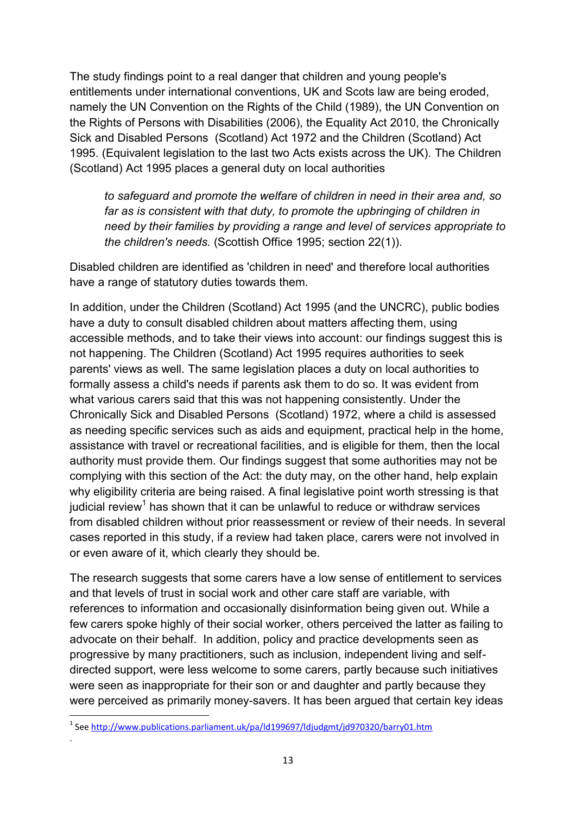The study findings point to a real danger that children and young people's entitlements under international conventions, UK and Scots law are being eroded, namely the UN Convention on the Rights of the Child (1989), the UN Convention on the Rights of Persons with Disabilities (2006), the Equality Act 2010, the Chronically Sick and Disabled Persons (Scotland) Act 1972 and the Children (Scotland) Act 1995. (Equivalent legislation to the last two Acts exists across the UK). The Children (Scotland) Act 1995 places a general duty on local authorities

*to safeguard and promote the welfare of children in need in their area and, so far as is consistent with that duty, to promote the upbringing of children in need by their families by providing a range and level of services appropriate to the children's needs.* (Scottish Office 1995; section 22(1)).

Disabled children are identified as 'children in need' and therefore local authorities have a range of statutory duties towards them.

In addition, under the Children (Scotland) Act 1995 (and the UNCRC), public bodies have a duty to consult disabled children about matters affecting them, using accessible methods, and to take their views into account: our findings suggest this is not happening. The Children (Scotland) Act 1995 requires authorities to seek parents' views as well. The same legislation places a duty on local authorities to formally assess a child's needs if parents ask them to do so. It was evident from what various carers said that this was not happening consistently. Under the Chronically Sick and Disabled Persons (Scotland) 1972, where a child is assessed as needing specific services such as aids and equipment, practical help in the home, assistance with travel or recreational facilities, and is eligible for them, then the local authority must provide them. Our findings suggest that some authorities may not be complying with this section of the Act: the duty may, on the other hand, help explain why eligibility criteria are being raised. A final legislative point worth stressing is that judicial review<sup>1</sup> has shown that it can be unlawful to reduce or withdraw services from disabled children without prior reassessment or review of their needs. In several cases reported in this study, if a review had taken place, carers were not involved in or even aware of it, which clearly they should be.

The research suggests that some carers have a low sense of entitlement to services and that levels of trust in social work and other care staff are variable, with references to information and occasionally disinformation being given out. While a few carers spoke highly of their social worker, others perceived the latter as failing to advocate on their behalf. In addition, policy and practice developments seen as progressive by many practitioners, such as inclusion, independent living and selfdirected support, were less welcome to some carers, partly because such initiatives were seen as inappropriate for their son or and daughter and partly because they were perceived as primarily money-savers. It has been argued that certain key ideas

**.** 

.

<sup>&</sup>lt;sup>1</sup> See<http://www.publications.parliament.uk/pa/ld199697/ldjudgmt/jd970320/barry01.htm>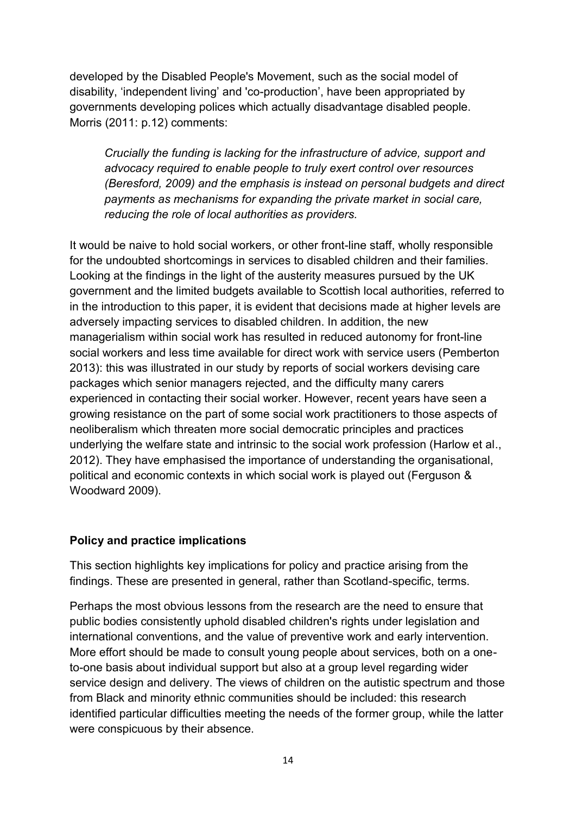developed by the Disabled People's Movement, such as the social model of disability, 'independent living' and 'co-production', have been appropriated by governments developing polices which actually disadvantage disabled people. Morris (2011: p.12) comments:

*Crucially the funding is lacking for the infrastructure of advice, support and advocacy required to enable people to truly exert control over resources (Beresford, 2009) and the emphasis is instead on personal budgets and direct payments as mechanisms for expanding the private market in social care, reducing the role of local authorities as providers.*

It would be naive to hold social workers, or other front-line staff, wholly responsible for the undoubted shortcomings in services to disabled children and their families. Looking at the findings in the light of the austerity measures pursued by the UK government and the limited budgets available to Scottish local authorities, referred to in the introduction to this paper, it is evident that decisions made at higher levels are adversely impacting services to disabled children. In addition, the new managerialism within social work has resulted in reduced autonomy for front-line social workers and less time available for direct work with service users (Pemberton 2013): this was illustrated in our study by reports of social workers devising care packages which senior managers rejected, and the difficulty many carers experienced in contacting their social worker. However, recent years have seen a growing resistance on the part of some social work practitioners to those aspects of neoliberalism which threaten more social democratic principles and practices underlying the welfare state and intrinsic to the social work profession (Harlow et al., 2012). They have emphasised the importance of understanding the organisational, political and economic contexts in which social work is played out (Ferguson & Woodward 2009).

### **Policy and practice implications**

This section highlights key implications for policy and practice arising from the findings. These are presented in general, rather than Scotland-specific, terms.

Perhaps the most obvious lessons from the research are the need to ensure that public bodies consistently uphold disabled children's rights under legislation and international conventions, and the value of preventive work and early intervention. More effort should be made to consult young people about services, both on a oneto-one basis about individual support but also at a group level regarding wider service design and delivery. The views of children on the autistic spectrum and those from Black and minority ethnic communities should be included: this research identified particular difficulties meeting the needs of the former group, while the latter were conspicuous by their absence.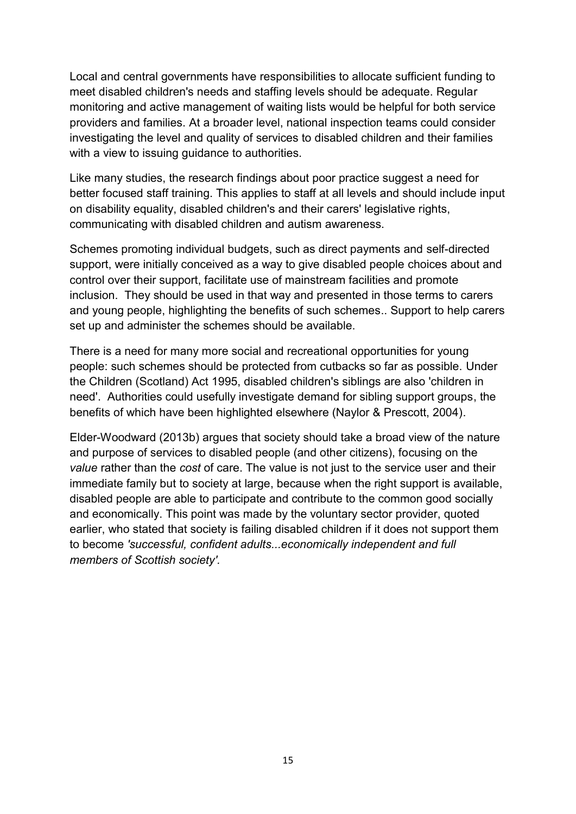Local and central governments have responsibilities to allocate sufficient funding to meet disabled children's needs and staffing levels should be adequate. Regular monitoring and active management of waiting lists would be helpful for both service providers and families. At a broader level, national inspection teams could consider investigating the level and quality of services to disabled children and their families with a view to issuing guidance to authorities.

Like many studies, the research findings about poor practice suggest a need for better focused staff training. This applies to staff at all levels and should include input on disability equality, disabled children's and their carers' legislative rights, communicating with disabled children and autism awareness.

Schemes promoting individual budgets, such as direct payments and self-directed support, were initially conceived as a way to give disabled people choices about and control over their support, facilitate use of mainstream facilities and promote inclusion. They should be used in that way and presented in those terms to carers and young people, highlighting the benefits of such schemes.. Support to help carers set up and administer the schemes should be available.

There is a need for many more social and recreational opportunities for young people: such schemes should be protected from cutbacks so far as possible. Under the Children (Scotland) Act 1995, disabled children's siblings are also 'children in need'. Authorities could usefully investigate demand for sibling support groups, the benefits of which have been highlighted elsewhere (Naylor & Prescott, 2004).

Elder-Woodward (2013b) argues that society should take a broad view of the nature and purpose of services to disabled people (and other citizens), focusing on the *value* rather than the *cost* of care. The value is not just to the service user and their immediate family but to society at large, because when the right support is available, disabled people are able to participate and contribute to the common good socially and economically. This point was made by the voluntary sector provider, quoted earlier, who stated that society is failing disabled children if it does not support them to become *'successful, confident adults...economically independent and full members of Scottish society'.*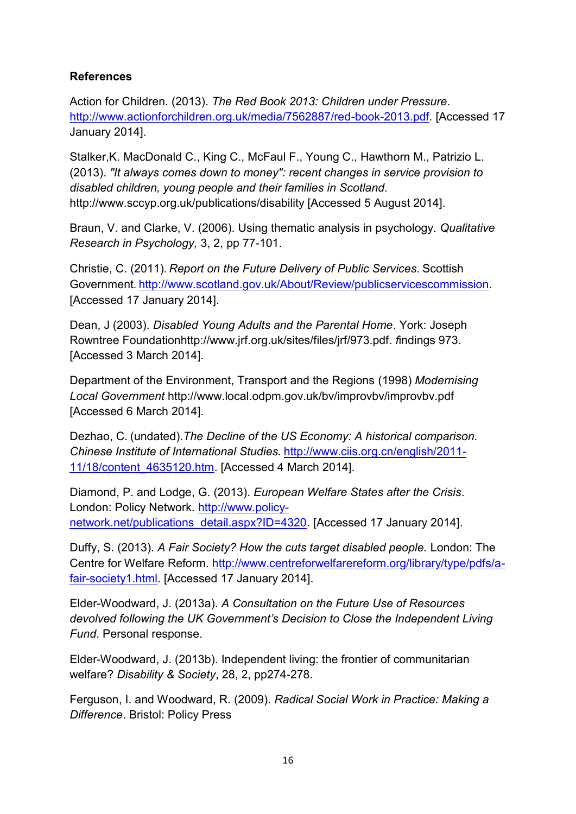# **References**

Action for Children. (2013). *The Red Book 2013: Children under Pressure*. [http://www.actionforchildren.org.uk/media/7562887/red-book-2013.pdf.](http://www.actionforchildren.org.uk/media/7562887/red-book-2013.pdf) [Accessed 17 January 2014].

[Stalker,K.](http://www.strath.ac.uk/humanities/courses/socialwork/staff/stalkerkirstenprof/) MacDonald C., King C., McFaul F., Young C., Hawthorn M., Patrizio L. (2013). *["It always comes down to money": recent changes in service provision to](http://strathprints.strath.ac.uk/45037/)  [disabled children, young people and their families in Scotland.](http://strathprints.strath.ac.uk/45037/)* http://www.sccyp.org.uk/publications/disability [Accessed 5 August 2014].

Braun, V. and Clarke, V. (2006). Using thematic analysis in psychology. *Qualitative Research in Psychology,* 3, 2, pp 77-101.

Christie, C. (2011). *Report on the Future Delivery of Public Services.* Scottish Government. [http://www.scotland.gov.uk/About/Review/publicservicescommission.](http://www.scotland.gov.uk/About/Review/publicservicescommission) [Accessed 17 January 2014].

Dean, J (2003). *Disabled Young Adults and the Parental Home*. York: Joseph Rowntree Foundationhttp://www.jrf.org.uk/sites/files/jrf/973.pdf. *f*indings 973. [Accessed 3 March 2014].

Department of the Environment, Transport and the Regions (1998) *Modernising Local Government* http://www.local.odpm.gov.uk/bv/improvbv/improvbv.pdf [Accessed 6 March 2014].

Dezhao, C. (undated).*The Decline of the US Economy: A historical comparison. Chinese Institute of International Studies.* [http://www.ciis.org.cn/english/2011-](http://www.ciis.org.cn/english/2011-11/18/content_4635120.htm) [11/18/content\\_4635120.htm.](http://www.ciis.org.cn/english/2011-11/18/content_4635120.htm) [Accessed 4 March 2014].

Diamond, P. and Lodge, G. (2013). *European Welfare States after the Crisis*. London: Policy Network. [http://www.policy](http://www.policy-network.net/publications_detail.aspx?ID=4320)[network.net/publications\\_detail.aspx?ID=4320.](http://www.policy-network.net/publications_detail.aspx?ID=4320) [Accessed 17 January 2014].

Duffy, S. (2013). *A Fair Society? How the cuts target disabled people.* London: The Centre for Welfare Reform. [http://www.centreforwelfarereform.org/library/type/pdfs/a](http://www.centreforwelfarereform.org/library/type/pdfs/a-fair-society1.html)[fair-society1.html.](http://www.centreforwelfarereform.org/library/type/pdfs/a-fair-society1.html) [Accessed 17 January 2014].

Elder-Woodward, J. (2013a). *A Consultation on the Future Use of Resources devolved following the UK Government's Decision to Close the Independent Living Fund*. Personal response.

Elder-Woodward, J. (2013b). Independent living: the frontier of communitarian welfare? *Disability & Society*, 28, 2, pp274-278.

Ferguson, I. and Woodward, R. (2009). *Radical Social Work in Practice: Making a Difference*. Bristol: Policy Press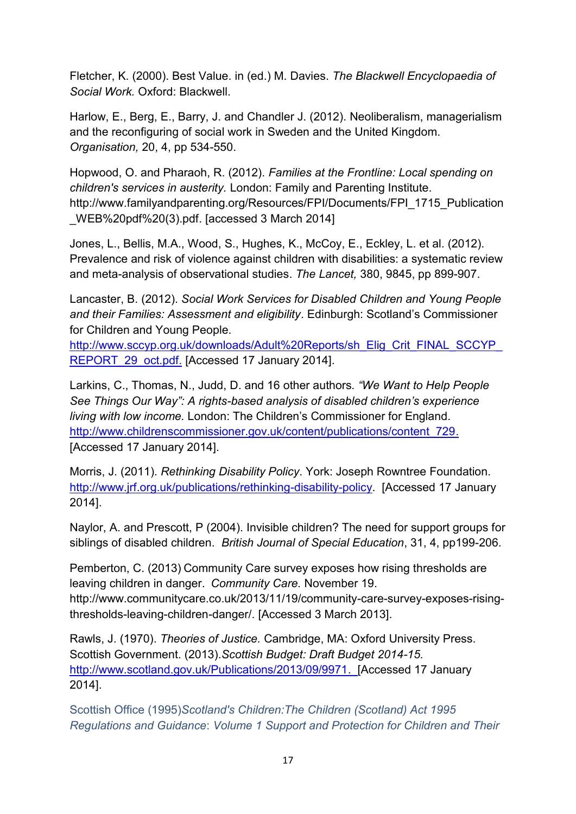Fletcher, K. (2000). Best Value. in (ed.) M. Davies. *The Blackwell Encyclopaedia of Social Work.* Oxford: Blackwell.

Harlow, E., Berg, E., Barry, J. and Chandler J. (2012). Neoliberalism, managerialism and the reconfiguring of social work in Sweden and the United Kingdom. *Organisation,* 20, 4, pp 534-550.

Hopwood, O. and Pharaoh, R. (2012). *Families at the Frontline: Local spending on children's services in austerity.* London: Family and Parenting Institute. http://www.familyandparenting.org/Resources/FPI/Documents/FPI\_1715\_Publication \_WEB%20pdf%20(3).pdf. [accessed 3 March 2014]

Jones, L., Bellis, M.A., Wood, S., Hughes, K., McCoy, E., Eckley, L. et al. (2012). Prevalence and risk of violence against children with disabilities: a systematic review and meta-analysis of observational studies. *The Lancet,* 380, 9845, pp 899-907.

Lancaster, B. (2012). *Social Work Services for Disabled Children and Young People and their Families: Assessment and eligibility*. Edinburgh: Scotland's Commissioner for Children and Young People.

[http://www.sccyp.org.uk/downloads/Adult%20Reports/sh\\_Elig\\_Crit\\_FINAL\\_SCCYP\\_](http://www.sccyp.org.uk/downloads/Adult%20Reports/sh_Elig_Crit_FINAL_SCCYP_REPORT_29_oct.pdf) REPORT 29 oct.pdf. [Accessed 17 January 2014].

Larkins, C., Thomas, N., Judd, D. and 16 other authors*. "We Want to Help People See Things Our Way": A rights-based analysis of disabled children's experience living with low income.* London: The Children's Commissioner for England. [http://www.childrenscommissioner.gov.uk/content/publications/content\\_729.](http://www.childrenscommissioner.gov.uk/content/publications/content_729) [Accessed 17 January 2014].

Morris, J. (2011). *Rethinking Disability Policy*. York: Joseph Rowntree Foundation. [http://www.jrf.org.uk/publications/rethinking-disability-policy.](http://www.jrf.org.uk/publications/rethinking-disability-policy) [Accessed 17 January 2014].

Naylor, A. and Prescott, P (2004). Invisible children? The need for support groups for siblings of disabled children. *British Journal of Special Education*, 31, 4, pp199-206.

Pemberton, C. (2013) Community Care survey exposes how rising thresholds are leaving children in danger. *Community Care.* November 19. http://www.communitycare.co.uk/2013/11/19/community-care-survey-exposes-risingthresholds-leaving-children-danger/. [Accessed 3 March 2013].

Rawls, J. (1970). *Theories of Justice.* Cambridge, MA: Oxford University Press. Scottish Government. (2013).*Scottish Budget: Draft Budget 2014-15.* [http://www.scotland.gov.uk/Publications/2013/09/9971.](http://www.scotland.gov.uk/Publications/2013/09/9971) [Accessed 17 January 2014].

Scottish Office (1995)*Scotland's Children:The Children (Scotland) Act 1995 Regulations and Guidance*: *Volume 1 Support and Protection for Children and Their*